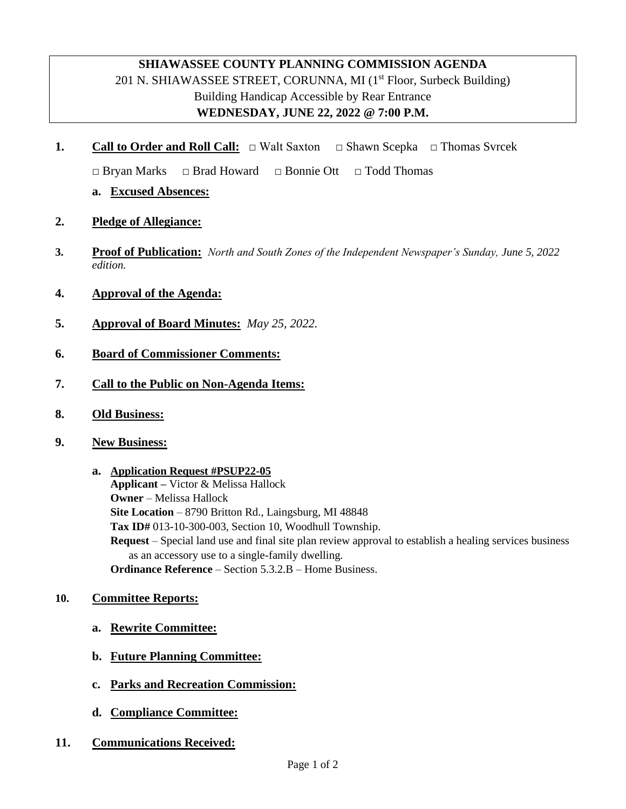## **SHIAWASSEE COUNTY PLANNING COMMISSION AGENDA** 201 N. SHIAWASSEE STREET, CORUNNA, MI  $(1<sup>st</sup>$  Floor, Surbeck Building) Building Handicap Accessible by Rear Entrance **WEDNESDAY, JUNE 22, 2022 @ 7:00 P.M.**

**1. Call to Order and Roll Call:** □ Walt Saxton **□** Shawn Scepka **□** Thomas Svrcek

**□** Bryan Marks **□** Brad Howard **□** Bonnie Ott **□** Todd Thomas

- **a. Excused Absences:**
- **2. Pledge of Allegiance:**
- **3. Proof of Publication:** *North and South Zones of the Independent Newspaper's Sunday, June 5, 2022 edition.*
- **4. Approval of the Agenda:**
- **5. Approval of Board Minutes:** *May 25, 2022.*
- **6. Board of Commissioner Comments:**
- **7. Call to the Public on Non-Agenda Items:**
- **8. Old Business:**
- **9. New Business:**
	- **a. Application Request #PSUP22-05 Applicant –** Victor & Melissa Hallock **Owner** – Melissa Hallock **Site Location** – 8790 Britton Rd., Laingsburg, MI 48848 **Tax ID#** 013-10-300-003, Section 10, Woodhull Township. **Request** – Special land use and final site plan review approval to establish a healing services business as an accessory use to a single-family dwelling. **Ordinance Reference** – Section 5.3.2.B – Home Business.

#### **10. Committee Reports:**

- **a. Rewrite Committee:**
- **b. Future Planning Committee:**
- **c. Parks and Recreation Commission:**
- **d. Compliance Committee:**
- **11. Communications Received:**